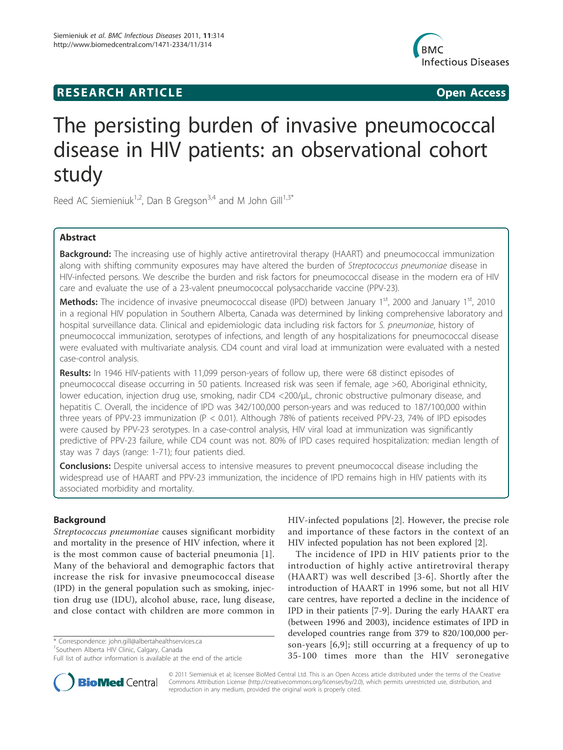## **RESEARCH ARTICLE Example 2018 CONSIDERING ACCESS**



# The persisting burden of invasive pneumococcal disease in HIV patients: an observational cohort study

Reed AC Siemieniuk<sup>1,2</sup>, Dan B Gregson<sup>3,4</sup> and M John Gill<sup>1,3\*</sup>

## Abstract

**Background:** The increasing use of highly active antiretroviral therapy (HAART) and pneumococcal immunization along with shifting community exposures may have altered the burden of Streptococcus pneumoniae disease in HIV-infected persons. We describe the burden and risk factors for pneumococcal disease in the modern era of HIV care and evaluate the use of a 23-valent pneumococcal polysaccharide vaccine (PPV-23).

Methods: The incidence of invasive pneumococcal disease (IPD) between January 1<sup>st</sup>, 2000 and January 1<sup>st</sup>, 2010 in a regional HIV population in Southern Alberta, Canada was determined by linking comprehensive laboratory and hospital surveillance data. Clinical and epidemiologic data including risk factors for S. pneumoniae, history of pneumococcal immunization, serotypes of infections, and length of any hospitalizations for pneumococcal disease were evaluated with multivariate analysis. CD4 count and viral load at immunization were evaluated with a nested case-control analysis.

Results: In 1946 HIV-patients with 11,099 person-years of follow up, there were 68 distinct episodes of pneumococcal disease occurring in 50 patients. Increased risk was seen if female, age >60, Aboriginal ethnicity, lower education, injection drug use, smoking, nadir CD4 <200/μL, chronic obstructive pulmonary disease, and hepatitis C. Overall, the incidence of IPD was 342/100,000 person-years and was reduced to 187/100,000 within three years of PPV-23 immunization (P < 0.01). Although 78% of patients received PPV-23, 74% of IPD episodes were caused by PPV-23 serotypes. In a case-control analysis, HIV viral load at immunization was significantly predictive of PPV-23 failure, while CD4 count was not. 80% of IPD cases required hospitalization: median length of stay was 7 days (range: 1-71); four patients died.

**Conclusions:** Despite universal access to intensive measures to prevent pneumococcal disease including the widespread use of HAART and PPV-23 immunization, the incidence of IPD remains high in HIV patients with its associated morbidity and mortality.

## Background

Streptococcus pneumoniae causes significant morbidity and mortality in the presence of HIV infection, where it is the most common cause of bacterial pneumonia [1]. Many of the behavioral and demographic factors that increase the risk for invasive pneumococcal disease (IPD) in the general population such as smoking, injection drug use (IDU), alcohol abuse, race, lung disease, and close contact with children are more common in

\* Correspondence: john.gill@albertahealthservices.ca

<sup>1</sup> Southern Alberta HIV Clinic, Calgary, Canada



The incidence of IPD in HIV patients prior to the introduction of highly active antiretroviral therapy (HAART) was well described [3-6]. Shortly after the introduction of HAART in 1996 some, but not all HIV care centres, have reported a decline in the incidence of IPD in their patients [7-9]. During the early HAART era (between 1996 and 2003), incidence estimates of IPD in developed countries range from 379 to 820/100,000 person-years [6,9]; still occurring at a frequency of up to 35-100 times more than the HIV seronegative



© 2011 Siemieniuk et al; licensee BioMed Central Ltd. This is an Open Access article distributed under the terms of the Creative Commons Attribution License (http://creativecommons.org/licenses/by/2.0), which permits unrestricted use, distribution, and reproduction in any medium, provided the original work is properly cited.

Full list of author information is available at the end of the article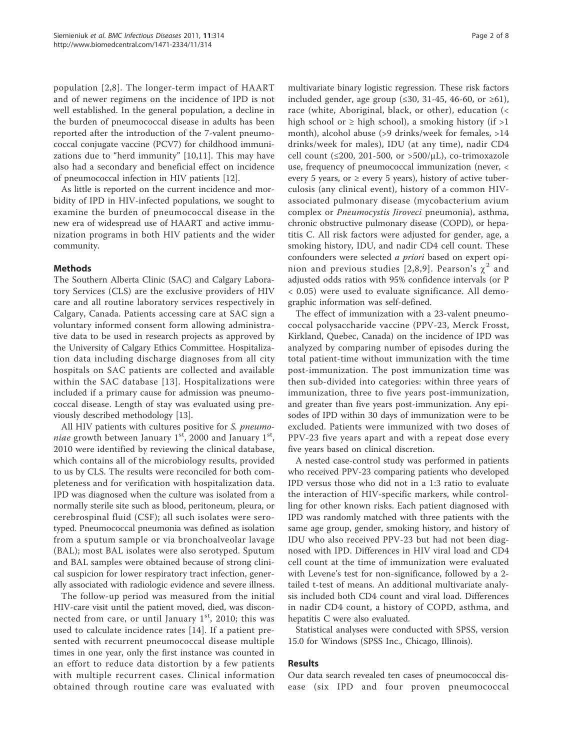population [2,8]. The longer-term impact of HAART and of newer regimens on the incidence of IPD is not well established. In the general population, a decline in the burden of pneumococcal disease in adults has been reported after the introduction of the 7-valent pneumococcal conjugate vaccine (PCV7) for childhood immunizations due to "herd immunity" [10,11]. This may have also had a secondary and beneficial effect on incidence of pneumococcal infection in HIV patients [12].

As little is reported on the current incidence and morbidity of IPD in HIV-infected populations, we sought to examine the burden of pneumococcal disease in the new era of widespread use of HAART and active immunization programs in both HIV patients and the wider community.

## Methods

The Southern Alberta Clinic (SAC) and Calgary Laboratory Services (CLS) are the exclusive providers of HIV care and all routine laboratory services respectively in Calgary, Canada. Patients accessing care at SAC sign a voluntary informed consent form allowing administrative data to be used in research projects as approved by the University of Calgary Ethics Committee. Hospitalization data including discharge diagnoses from all city hospitals on SAC patients are collected and available within the SAC database [13]. Hospitalizations were included if a primary cause for admission was pneumococcal disease. Length of stay was evaluated using previously described methodology [13].

All HIV patients with cultures positive for S. pneumoniae growth between January  $1<sup>st</sup>$ , 2000 and January  $1<sup>st</sup>$ , 2010 were identified by reviewing the clinical database, which contains all of the microbiology results, provided to us by CLS. The results were reconciled for both completeness and for verification with hospitalization data. IPD was diagnosed when the culture was isolated from a normally sterile site such as blood, peritoneum, pleura, or cerebrospinal fluid (CSF); all such isolates were serotyped. Pneumococcal pneumonia was defined as isolation from a sputum sample or via bronchoalveolar lavage (BAL); most BAL isolates were also serotyped. Sputum and BAL samples were obtained because of strong clinical suspicion for lower respiratory tract infection, generally associated with radiologic evidence and severe illness.

The follow-up period was measured from the initial HIV-care visit until the patient moved, died, was disconnected from care, or until January  $1<sup>st</sup>$ , 2010; this was used to calculate incidence rates [14]. If a patient presented with recurrent pneumococcal disease multiple times in one year, only the first instance was counted in an effort to reduce data distortion by a few patients with multiple recurrent cases. Clinical information obtained through routine care was evaluated with multivariate binary logistic regression. These risk factors included gender, age group (≤30, 31-45, 46-60, or ≥61), race (white, Aboriginal, black, or other), education (< high school or  $\geq$  high school), a smoking history (if  $>1$ month), alcohol abuse (>9 drinks/week for females, >14 drinks/week for males), IDU (at any time), nadir CD4 cell count (≤200, 201-500, or >500/ $\mu$ L), co-trimoxazole use, frequency of pneumococcal immunization (never, < every 5 years, or  $\geq$  every 5 years), history of active tuberculosis (any clinical event), history of a common HIVassociated pulmonary disease (mycobacterium avium complex or Pneumocystis Jiroveci pneumonia), asthma, chronic obstructive pulmonary disease (COPD), or hepatitis C. All risk factors were adjusted for gender, age, a smoking history, IDU, and nadir CD4 cell count. These confounders were selected a priori based on expert opinion and previous studies [2,8,9]. Pearson's  $\chi^2$  and adjusted odds ratios with 95% confidence intervals (or P < 0.05) were used to evaluate significance. All demographic information was self-defined.

The effect of immunization with a 23-valent pneumococcal polysaccharide vaccine (PPV-23, Merck Frosst, Kirkland, Quebec, Canada) on the incidence of IPD was analyzed by comparing number of episodes during the total patient-time without immunization with the time post-immunization. The post immunization time was then sub-divided into categories: within three years of immunization, three to five years post-immunization, and greater than five years post-immunization. Any episodes of IPD within 30 days of immunization were to be excluded. Patients were immunized with two doses of PPV-23 five years apart and with a repeat dose every five years based on clinical discretion.

A nested case-control study was performed in patients who received PPV-23 comparing patients who developed IPD versus those who did not in a 1:3 ratio to evaluate the interaction of HIV-specific markers, while controlling for other known risks. Each patient diagnosed with IPD was randomly matched with three patients with the same age group, gender, smoking history, and history of IDU who also received PPV-23 but had not been diagnosed with IPD. Differences in HIV viral load and CD4 cell count at the time of immunization were evaluated with Levene's test for non-significance, followed by a 2 tailed t-test of means. An additional multivariate analysis included both CD4 count and viral load. Differences in nadir CD4 count, a history of COPD, asthma, and hepatitis C were also evaluated.

Statistical analyses were conducted with SPSS, version 15.0 for Windows (SPSS Inc., Chicago, Illinois).

## Results

Our data search revealed ten cases of pneumococcal disease (six IPD and four proven pneumococcal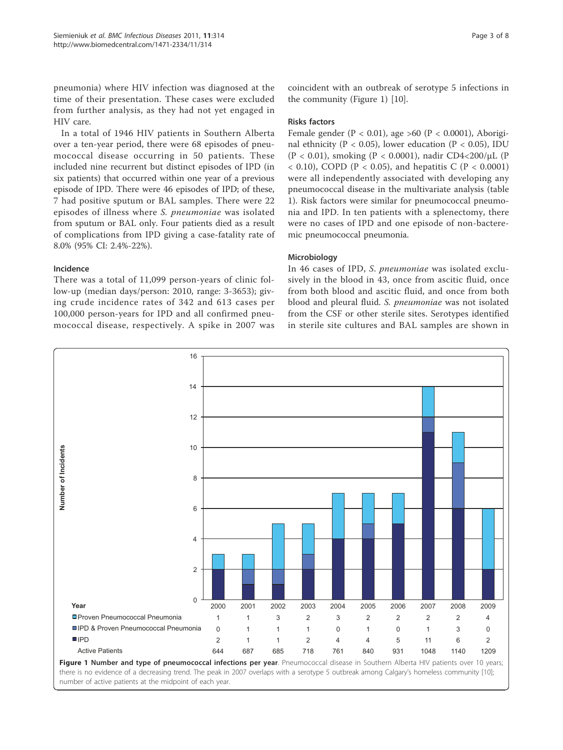pneumonia) where HIV infection was diagnosed at the time of their presentation. These cases were excluded from further analysis, as they had not yet engaged in HIV care.

In a total of 1946 HIV patients in Southern Alberta over a ten-year period, there were 68 episodes of pneumococcal disease occurring in 50 patients. These included nine recurrent but distinct episodes of IPD (in six patients) that occurred within one year of a previous episode of IPD. There were 46 episodes of IPD; of these, 7 had positive sputum or BAL samples. There were 22 episodes of illness where S. pneumoniae was isolated from sputum or BAL only. Four patients died as a result of complications from IPD giving a case-fatality rate of 8.0% (95% CI: 2.4%-22%).

## Incidence

There was a total of 11,099 person-years of clinic follow-up (median days/person: 2010, range: 3-3653); giving crude incidence rates of 342 and 613 cases per 100,000 person-years for IPD and all confirmed pneumococcal disease, respectively. A spike in 2007 was coincident with an outbreak of serotype 5 infections in the community (Figure 1) [10].

## Risks factors

Female gender ( $P < 0.01$ ), age >60 ( $P < 0.0001$ ), Aboriginal ethnicity ( $P < 0.05$ ), lower education ( $P < 0.05$ ), IDU (P < 0.01), smoking (P < 0.0001), nadir CD4<200/µL (P  $< 0.10$ ), COPD (P  $< 0.05$ ), and hepatitis C (P  $< 0.0001$ ) were all independently associated with developing any pneumococcal disease in the multivariate analysis (table 1). Risk factors were similar for pneumococcal pneumonia and IPD. In ten patients with a splenectomy, there were no cases of IPD and one episode of non-bacteremic pneumococcal pneumonia.

## **Microbiology**

In 46 cases of IPD, S. pneumoniae was isolated exclusively in the blood in 43, once from ascitic fluid, once from both blood and ascitic fluid, and once from both blood and pleural fluid. S. pneumoniae was not isolated from the CSF or other sterile sites. Serotypes identified in sterile site cultures and BAL samples are shown in

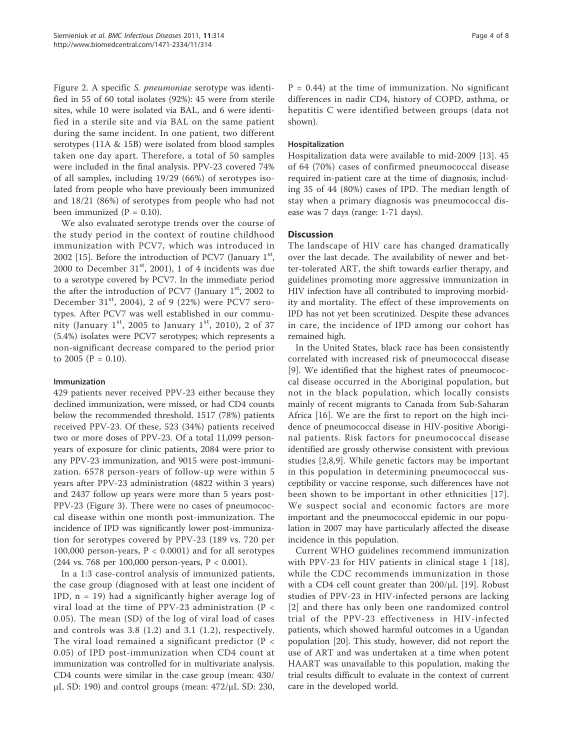Figure 2. A specific S. pneumoniae serotype was identified in 55 of 60 total isolates (92%): 45 were from sterile sites, while 10 were isolated via BAL, and 6 were identified in a sterile site and via BAL on the same patient during the same incident. In one patient, two different serotypes (11A & 15B) were isolated from blood samples taken one day apart. Therefore, a total of 50 samples were included in the final analysis. PPV-23 covered 74% of all samples, including 19/29 (66%) of serotypes isolated from people who have previously been immunized and 18/21 (86%) of serotypes from people who had not been immunized ( $P = 0.10$ ).

We also evaluated serotype trends over the course of the study period in the context of routine childhood immunization with PCV7, which was introduced in 2002 [15]. Before the introduction of PCV7 (January  $1<sup>st</sup>$ , 2000 to December  $31<sup>st</sup>$ , 2001), 1 of 4 incidents was due to a serotype covered by PCV7. In the immediate period the after the introduction of PCV7 (January  $1<sup>st</sup>$ , 2002 to December 31<sup>st</sup>, 2004), 2 of 9 (22%) were PCV7 serotypes. After PCV7 was well established in our community (January  $1^{st}$ , 2005 to January  $1^{st}$ , 2010), 2 of 37 (5.4%) isolates were PCV7 serotypes; which represents a non-significant decrease compared to the period prior to 2005 ( $P = 0.10$ ).

## Immunization

429 patients never received PPV-23 either because they declined immunization, were missed, or had CD4 counts below the recommended threshold. 1517 (78%) patients received PPV-23. Of these, 523 (34%) patients received two or more doses of PPV-23. Of a total 11,099 personyears of exposure for clinic patients, 2084 were prior to any PPV-23 immunization, and 9015 were post-immunization. 6578 person-years of follow-up were within 5 years after PPV-23 administration (4822 within 3 years) and 2437 follow up years were more than 5 years post-PPV-23 (Figure 3). There were no cases of pneumococcal disease within one month post-immunization. The incidence of IPD was significantly lower post-immunization for serotypes covered by PPV-23 (189 vs. 720 per 100,000 person-years,  $P < 0.0001$ ) and for all serotypes (244 vs. 768 per 100,000 person-years, P < 0.001).

In a 1:3 case-control analysis of immunized patients, the case group (diagnosed with at least one incident of IPD,  $n = 19$ ) had a significantly higher average log of viral load at the time of PPV-23 administration ( $P <$ 0.05). The mean (SD) of the log of viral load of cases and controls was 3.8 (1.2) and 3.1 (1.2), respectively. The viral load remained a significant predictor ( $P <$ 0.05) of IPD post-immunization when CD4 count at immunization was controlled for in multivariate analysis. CD4 counts were similar in the case group (mean: 430/ μL SD: 190) and control groups (mean:  $472$ /μL SD: 230,

 $P = 0.44$ ) at the time of immunization. No significant differences in nadir CD4, history of COPD, asthma, or hepatitis C were identified between groups (data not shown).

## Hospitalization

Hospitalization data were available to mid-2009 [13]. 45 of 64 (70%) cases of confirmed pneumococcal disease required in-patient care at the time of diagnosis, including 35 of 44 (80%) cases of IPD. The median length of stay when a primary diagnosis was pneumococcal disease was 7 days (range: 1-71 days).

## **Discussion**

The landscape of HIV care has changed dramatically over the last decade. The availability of newer and better-tolerated ART, the shift towards earlier therapy, and guidelines promoting more aggressive immunization in HIV infection have all contributed to improving morbidity and mortality. The effect of these improvements on IPD has not yet been scrutinized. Despite these advances in care, the incidence of IPD among our cohort has remained high.

In the United States, black race has been consistently correlated with increased risk of pneumococcal disease [9]. We identified that the highest rates of pneumococcal disease occurred in the Aboriginal population, but not in the black population, which locally consists mainly of recent migrants to Canada from Sub-Saharan Africa [16]. We are the first to report on the high incidence of pneumococcal disease in HIV-positive Aboriginal patients. Risk factors for pneumococcal disease identified are grossly otherwise consistent with previous studies [2,8,9]. While genetic factors may be important in this population in determining pneumococcal susceptibility or vaccine response, such differences have not been shown to be important in other ethnicities [17]. We suspect social and economic factors are more important and the pneumococcal epidemic in our population in 2007 may have particularly affected the disease incidence in this population.

Current WHO guidelines recommend immunization with PPV-23 for HIV patients in clinical stage 1 [18], while the CDC recommends immunization in those with a CD4 cell count greater than 200/μL [19]. Robust studies of PPV-23 in HIV-infected persons are lacking [2] and there has only been one randomized control trial of the PPV-23 effectiveness in HIV-infected patients, which showed harmful outcomes in a Ugandan population [20]. This study, however, did not report the use of ART and was undertaken at a time when potent HAART was unavailable to this population, making the trial results difficult to evaluate in the context of current care in the developed world.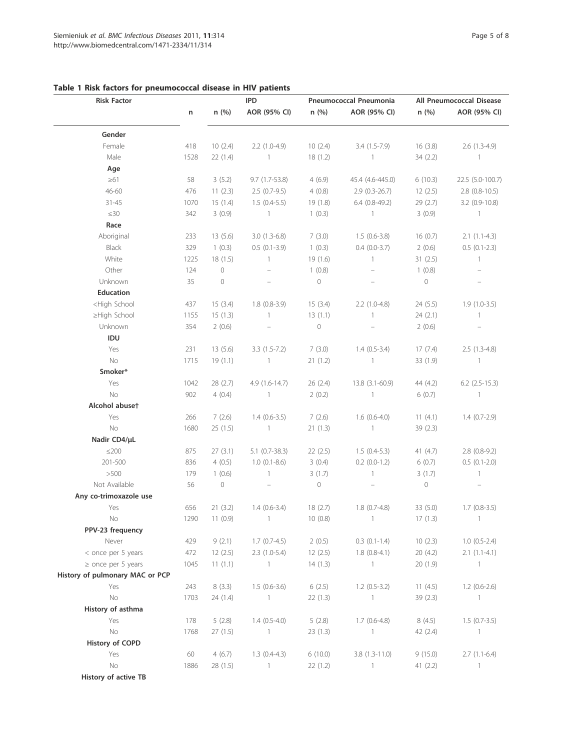| <b>Risk Factor</b>                                                                                                                                                                                 |      |         | <b>IPD</b>       | Pneumococcal Pneumonia |                   | All Pneumococcal Disease |                  |
|----------------------------------------------------------------------------------------------------------------------------------------------------------------------------------------------------|------|---------|------------------|------------------------|-------------------|--------------------------|------------------|
|                                                                                                                                                                                                    | n    | n(%)    | AOR (95% CI)     | n (%)                  | AOR (95% CI)      | n (%)                    | AOR (95% CI)     |
| Gender                                                                                                                                                                                             |      |         |                  |                        |                   |                          |                  |
| Female                                                                                                                                                                                             | 418  | 10(2.4) | $2.2(1.0-4.9)$   | 10(2.4)                | $3.4(1.5-7.9)$    | 16(3.8)                  | $2.6(1.3-4.9)$   |
| Male                                                                                                                                                                                               | 1528 | 22(1.4) | $\sim$ 1         | 18(1.2)                | $\blacksquare$    | 34(2.2)                  | $\overline{1}$   |
| Age                                                                                                                                                                                                |      |         |                  |                        |                   |                          |                  |
| $\geq 61$                                                                                                                                                                                          | 58   | 3(5.2)  | 9.7 (1.7-53.8)   | 4(6.9)                 | 45.4 (4.6-445.0)  | 6(10.3)                  | 22.5 (5.0-100.7) |
| 46-60                                                                                                                                                                                              | 476  | 11(2.3) | $2.5(0.7-9.5)$   | 4(0.8)                 | $2.9(0.3-26.7)$   | 12(2.5)                  | $2.8$ (0.8-10.5) |
| $31 - 45$                                                                                                                                                                                          | 1070 | 15(1.4) | $1.5(0.4-5.5)$   | 19(1.8)                | $6.4(0.8-49.2)$   | 29 (2.7)                 | $3.2$ (0.9-10.8) |
| $\leq 30$                                                                                                                                                                                          | 342  | 3(0.9)  | $\overline{1}$   | 1(0.3)                 | $\overline{1}$    | 3(0.9)                   | $\overline{1}$   |
| Race                                                                                                                                                                                               |      |         |                  |                        |                   |                          |                  |
| Aboriginal                                                                                                                                                                                         | 233  | 13(5.6) | $3.0(1.3-6.8)$   | 7(3.0)                 | $1.5(0.6-3.8)$    | 16(0.7)                  | $2.1(1.1-4.3)$   |
| Black                                                                                                                                                                                              | 329  | 1(0.3)  | $0.5(0.1-3.9)$   | 1(0.3)                 | $0.4(0.0-3.7)$    | 2(0.6)                   | $0.5(0.1-2.3)$   |
| White                                                                                                                                                                                              | 1225 | 18(1.5) | $\overline{1}$   | 19(1.6)                | $\mathbf{1}$      | 31(2.5)                  | $\mathbf{1}$     |
| Other                                                                                                                                                                                              | 124  | $\circ$ | $\equiv$         | 1(0.8)                 |                   | 1(0.8)                   | $\equiv$         |
| Unknown                                                                                                                                                                                            | 35   | $\circ$ |                  | $\circ$                |                   | $\circ$                  |                  |
| <b>Education</b>                                                                                                                                                                                   |      |         |                  |                        |                   |                          |                  |
| <high school<="" td=""><td>437</td><td>15(3.4)</td><td><math>1.8(0.8-3.9)</math></td><td>15(3.4)</td><td><math>2.2</math> (1.0-4.8)</td><td>24 (5.5)</td><td><math>1.9(1.0-3.5)</math></td></high> | 437  | 15(3.4) | $1.8(0.8-3.9)$   | 15(3.4)                | $2.2$ (1.0-4.8)   | 24 (5.5)                 | $1.9(1.0-3.5)$   |
| ≥High School                                                                                                                                                                                       | 1155 | 15(1.3) | $\overline{1}$   | 13(1.1)                | $\mathbf{1}$      | 24(2.1)                  | $\mathbf{1}$     |
| Unknown                                                                                                                                                                                            | 354  | 2(0.6)  | $\equiv$         | $\circ$                |                   | 2(0.6)                   | $\equiv$         |
| IDU                                                                                                                                                                                                |      |         |                  |                        |                   |                          |                  |
| Yes                                                                                                                                                                                                | 231  | 13(5.6) | $3.3(1.5-7.2)$   | 7(3.0)                 | $1.4(0.5-3.4)$    | 17(7.4)                  | $2.5(1.3-4.8)$   |
| No                                                                                                                                                                                                 | 1715 | 19(1.1) | $\sim$ 1         | 21(1.2)                | $\overline{1}$    | 33(1.9)                  | $\overline{1}$   |
| Smoker*                                                                                                                                                                                            |      |         |                  |                        |                   |                          |                  |
| Yes                                                                                                                                                                                                | 1042 | 28(2.7) | $4.9(1.6-14.7)$  | 26(2.4)                | $13.8(3.1-60.9)$  | 44 (4.2)                 | $6.2$ (2.5-15.3) |
| No                                                                                                                                                                                                 | 902  | 4(0.4)  | $\sim$ 1         | 2(0.2)                 | $\sim$ 1          | 6(0.7)                   | $\overline{1}$   |
| Alcohol abuset                                                                                                                                                                                     |      |         |                  |                        |                   |                          |                  |
| Yes                                                                                                                                                                                                | 266  | 7(2.6)  | $1.4(0.6-3.5)$   | 7(2.6)                 | $1.6(0.6-4.0)$    | 11(4.1)                  | $1.4(0.7-2.9)$   |
| No                                                                                                                                                                                                 | 1680 | 25(1.5) | $\sim$ 1         | 21(1.3)                | $\overline{1}$    | 39(2.3)                  |                  |
| Nadir CD4/µL                                                                                                                                                                                       |      |         |                  |                        |                   |                          |                  |
| $\leq$ 200                                                                                                                                                                                         | 875  | 27(3.1) | $5.1$ (0.7-38.3) | 22(2.5)                | $1.5(0.4-5.3)$    | 41 (4.7)                 | $2.8(0.8-9.2)$   |
| 201-500                                                                                                                                                                                            | 836  | 4(0.5)  | $1.0(0.1-8.6)$   | 3(0.4)                 | $0.2$ (0.0-1.2)   | 6(0.7)                   | $0.5(0.1-2.0)$   |
| >500                                                                                                                                                                                               | 179  | 1(0.6)  | $\overline{1}$   | 3(1.7)                 | $\mathbf{1}$      | 3(1.7)                   | $\mathbf{1}$     |
| Not Available                                                                                                                                                                                      | 56   | $\circ$ | $\equiv$         | $\circ$                |                   | $\circ$                  |                  |
| Any co-trimoxazole use                                                                                                                                                                             |      |         |                  |                        |                   |                          |                  |
| Yes                                                                                                                                                                                                | 656  | 21(3.2) | $1.4(0.6-3.4)$   | 18(2.7)                | $1.8(0.7-4.8)$    | 33(5.0)                  | $1.7(0.8-3.5)$   |
| No                                                                                                                                                                                                 | 1290 | 11(0.9) | $\mathbf{1}$     | 10(0.8)                | $\mathbb{1}$      | 17(1.3)                  | $\overline{1}$   |
| PPV-23 frequency                                                                                                                                                                                   |      |         |                  |                        |                   |                          |                  |
| Never                                                                                                                                                                                              | 429  | 9(2.1)  | $1.7(0.7-4.5)$   | 2(0.5)                 | $0.3$ $(0.1-1.4)$ | 10(2.3)                  | $1.0(0.5-2.4)$   |
| < once per 5 years                                                                                                                                                                                 | 472  | 12(2.5) | $2.3(1.0-5.4)$   | 12(2.5)                | $1.8(0.8-4.1)$    | 20 (4.2)                 | $2.1(1.1-4.1)$   |
| $\ge$ once per 5 years                                                                                                                                                                             | 1045 | 11(1.1) | $\mathbf{1}$     | 14(1.3)                | $\mathbf{1}$      | 20 (1.9)                 | $\mathbb{1}$     |
| History of pulmonary MAC or PCP                                                                                                                                                                    |      |         |                  |                        |                   |                          |                  |
| Yes                                                                                                                                                                                                | 243  | 8(3.3)  | $1.5(0.6-3.6)$   | 6(2.5)                 | $1.2(0.5-3.2)$    | 11 $(4.5)$               | $1.2(0.6-2.6)$   |
| $\rm No$                                                                                                                                                                                           | 1703 | 24(1.4) | 1                | 22(1.3)                | $\mathbf{1}$      | 39(2.3)                  | $\mathbf{1}$     |
| History of asthma                                                                                                                                                                                  |      |         |                  |                        |                   |                          |                  |
| Yes                                                                                                                                                                                                | 178  | 5(2.8)  | $1.4(0.5-4.0)$   | 5(2.8)                 | $1.7(0.6-4.8)$    | 8(4.5)                   | $1.5(0.7-3.5)$   |
| $\rm No$                                                                                                                                                                                           | 1768 | 27(1.5) | 1                | 23(1.3)                | $\mathbf{1}$      | 42 (2.4)                 | $\mathbb{1}$     |
| History of COPD                                                                                                                                                                                    |      |         |                  |                        |                   |                          |                  |
| Yes                                                                                                                                                                                                | 60   | 4(6.7)  | $1.3(0.4-4.3)$   | 6(10.0)                | $3.8(1.3-11.0)$   | 9(15.0)                  | $2.7(1.1-6.4)$   |
| No                                                                                                                                                                                                 | 1886 | 28(1.5) | 1                | 22(1.2)                | $\mathbf{1}$      | 41 $(2.2)$               | $\mathbf{1}$     |
| History of active TB                                                                                                                                                                               |      |         |                  |                        |                   |                          |                  |

## Table 1 Risk factors for pneumococcal disease in HIV patients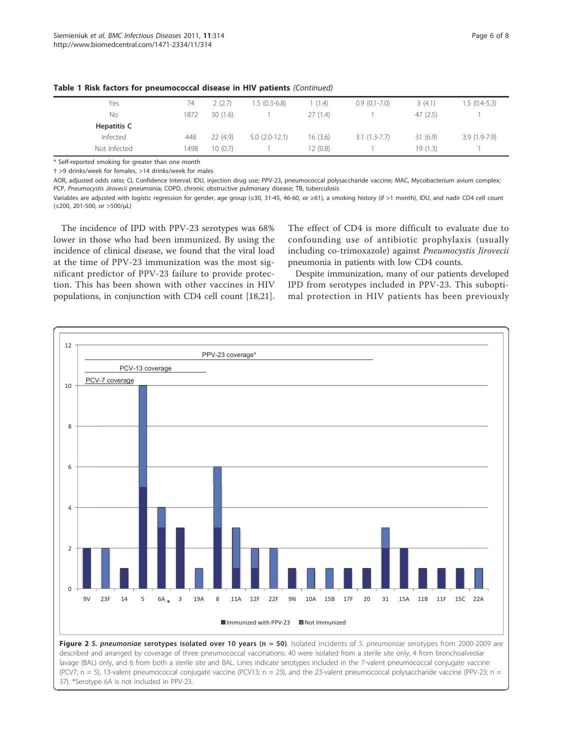| Yes          | 74   | 2(2.7)  | $1.5(0.3-6.8)$  | (1.4)    | $0.9(0.1-7.0)$ | 3(4.1)  | $1.5(0.4-5.3)$ |
|--------------|------|---------|-----------------|----------|----------------|---------|----------------|
| No           | 1872 | 30(1.6) |                 | 27(1.4)  |                | 47(2.5) |                |
| Hepatitis C  |      |         |                 |          |                |         |                |
| Infected     | 448  | 22(4.9) | $5.0(2.0-12.1)$ | 16 (3.6) | $3.1(1.3-7.7)$ | 31(6.9) | $3.9(1.9-7.9)$ |
| Not Infected | 1498 | 10(0.7) |                 | 2(0.8)   |                | 19(1.3) |                |

Table 1 Risk factors for pneumococcal disease in HIV patients (Continued)

\* Self-reported smoking for greater than one month

† >9 drinks/week for females, >14 drinks/week for males

AOR, adjusted odds ratio; CI, Confidence Interval; IDU, injection drug use; PPV-23, pneumococcal polysaccharide vaccine; MAC, Mycobacterium avium complex; PCP, Pneumocystis Jirovecii pneumonia; COPD, chronic obstructive pulmonary disease; TB, tuberculosis

Variables are adjusted with logistic regression for gender, age group (≤30, 31-45, 46-60, or ≥61), a smoking history (if >1 month), IDU, and nadir CD4 cell count (≤200, 201-500, or >500/μL)

The incidence of IPD with PPV-23 serotypes was 68% lower in those who had been immunized. By using the incidence of clinical disease, we found that the viral load at the time of PPV-23 immunization was the most significant predictor of PPV-23 failure to provide protection. This has been shown with other vaccines in HIV populations, in conjunction with CD4 cell count [18,21].

The effect of CD4 is more difficult to evaluate due to confounding use of antibiotic prophylaxis (usually including co-trimoxazole) against Pneumocystis Jirovecii pneumonia in patients with low CD4 counts.

Despite immunization, many of our patients developed IPD from serotypes included in PPV-23. This suboptimal protection in HIV patients has been previously

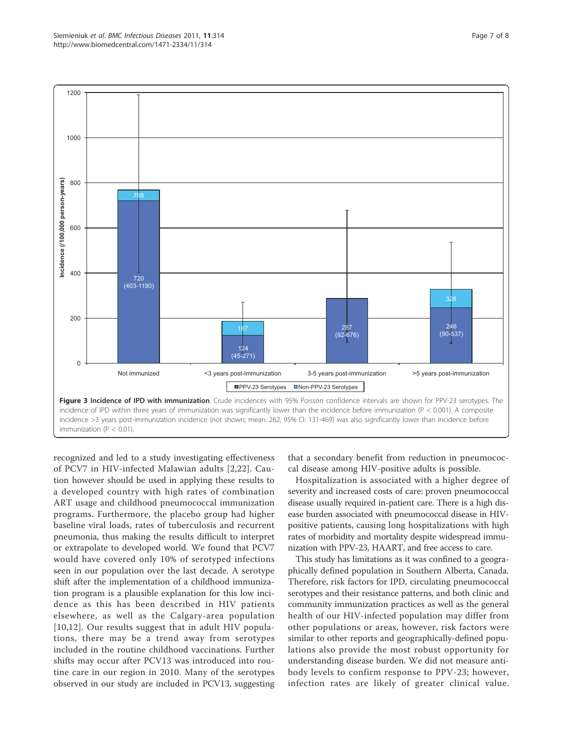

recognized and led to a study investigating effectiveness of PCV7 in HIV-infected Malawian adults [2,22]. Caution however should be used in applying these results to a developed country with high rates of combination ART usage and childhood pneumococcal immunization programs. Furthermore, the placebo group had higher baseline viral loads, rates of tuberculosis and recurrent pneumonia, thus making the results difficult to interpret or extrapolate to developed world. We found that PCV7 would have covered only 10% of serotyped infections seen in our population over the last decade. A serotype shift after the implementation of a childhood immunization program is a plausible explanation for this low incidence as this has been described in HIV patients elsewhere, as well as the Calgary-area population [10,12]. Our results suggest that in adult HIV populations, there may be a trend away from serotypes included in the routine childhood vaccinations. Further shifts may occur after PCV13 was introduced into routine care in our region in 2010. Many of the serotypes observed in our study are included in PCV13, suggesting

that a secondary benefit from reduction in pneumococcal disease among HIV-positive adults is possible.

Hospitalization is associated with a higher degree of severity and increased costs of care: proven pneumococcal disease usually required in-patient care. There is a high disease burden associated with pneumococcal disease in HIVpositive patients, causing long hospitalizations with high rates of morbidity and mortality despite widespread immunization with PPV-23, HAART, and free access to care.

This study has limitations as it was confined to a geographically defined population in Southern Alberta, Canada. Therefore, risk factors for IPD, circulating pneumococcal serotypes and their resistance patterns, and both clinic and community immunization practices as well as the general health of our HIV-infected population may differ from other populations or areas, however, risk factors were similar to other reports and geographically-defined populations also provide the most robust opportunity for understanding disease burden. We did not measure antibody levels to confirm response to PPV-23; however, infection rates are likely of greater clinical value.